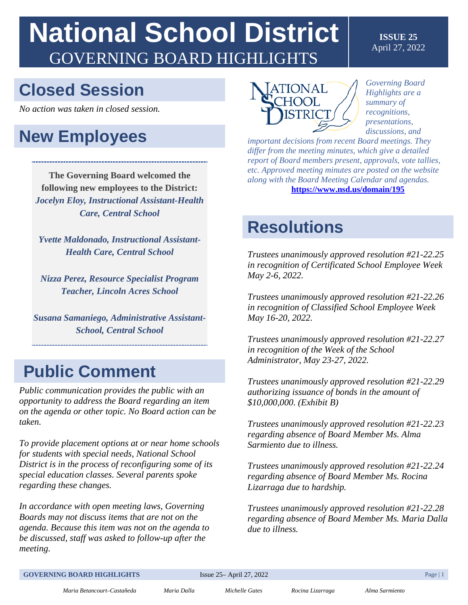# **National School District**  GOVERNING BOARD HIGHLIGHTS

#### **ISSUE 25** April 27, 2022

### **Closed Session**

*No action was taken in closed session.*

### **New Employees**

**The Governing Board welcomed the following new employees to the District:** *Jocelyn Eloy, Instructional Assistant-Health Care, Central School* 

*Yvette Maldonado, Instructional Assistant-Health Care, Central School* 

*Nizza Perez, Resource Specialist Program Teacher, Lincoln Acres School* 

*Susana Samaniego, Administrative Assistant-School, Central School* 

### **Public Comment**

*Public communication provides the public with an opportunity to address the Board regarding an item on the agenda or other topic. No Board action can be taken.*

*To provide placement options at or near home schools for students with special needs, National School District is in the process of reconfiguring some of its special education classes. Several parents spoke regarding these changes.* 

*In accordance with open meeting laws, Governing Boards may not discuss items that are not on the agenda. Because this item was not on the agenda to be discussed, staff was asked to follow-up after the meeting.* 



*Governing Board Highlights are a summary of recognitions, presentations, discussions, and*

*important decisions from recent Board meetings. They differ from the meeting minutes, which give a detailed report of Board members present, approvals, vote tallies, etc. Approved meeting minutes are posted on the website along with the Board Meeting Calendar and agendas.* **<https://www.nsd.us/domain/195>**

### **Resolutions**

*Trustees unanimously approved resolution #21-22.25 in recognition of Certificated School Employee Week May 2-6, 2022.* 

*Trustees unanimously approved resolution #21-22.26 in recognition of Classified School Employee Week May 16-20, 2022.* 

*Trustees unanimously approved resolution #21-22.27 in recognition of the Week of the School Administrator, May 23-27, 2022.* 

*Trustees unanimously approved resolution #21-22.29 authorizing issuance of bonds in the amount of \$10,000,000. (Exhibit B)* 

*Trustees unanimously approved resolution #21-22.23 regarding absence of Board Member Ms. Alma Sarmiento due to illness.*

*Trustees unanimously approved resolution #21-22.24 regarding absence of Board Member Ms. Rocina Lizarraga due to hardship.*

*Trustees unanimously approved resolution #21-22.28 regarding absence of Board Member Ms. Maria Dalla due to illness.*